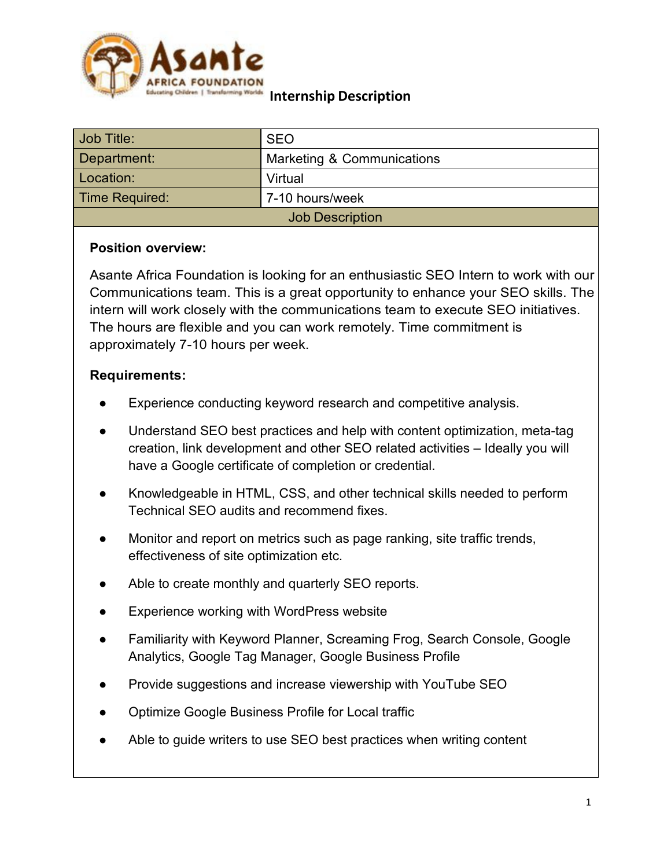

|  | <b>Internship Description</b> |
|--|-------------------------------|
|--|-------------------------------|

| Job Title:             | <b>SEO</b>                 |
|------------------------|----------------------------|
| Department:            | Marketing & Communications |
| Location:              | Virtual                    |
| Time Required:         | 7-10 hours/week            |
| <b>Job Description</b> |                            |

### **Position overview:**

Asante Africa Foundation is looking for an enthusiastic SEO Intern to work with our Communications team. This is a great opportunity to enhance your SEO skills. The intern will work closely with the communications team to execute SEO initiatives. The hours are flexible and you can work remotely. Time commitment is approximately 7-10 hours per week.

# **Requirements:**

- Experience conducting keyword research and competitive analysis.
- Understand SEO best practices and help with content optimization, meta-tag creation, link development and other SEO related activities – Ideally you will have a Google certificate of completion or credential.
- Knowledgeable in HTML, CSS, and other technical skills needed to perform Technical SEO audits and recommend fixes.
- Monitor and report on metrics such as page ranking, site traffic trends, effectiveness of site optimization etc.
- Able to create monthly and quarterly SEO reports.
- Experience working with WordPress website
- Familiarity with Keyword Planner, Screaming Frog, Search Console, Google Analytics, Google Tag Manager, Google Business Profile
- Provide suggestions and increase viewership with YouTube SEO
- Optimize Google Business Profile for Local traffic
- Able to guide writers to use SEO best practices when writing content